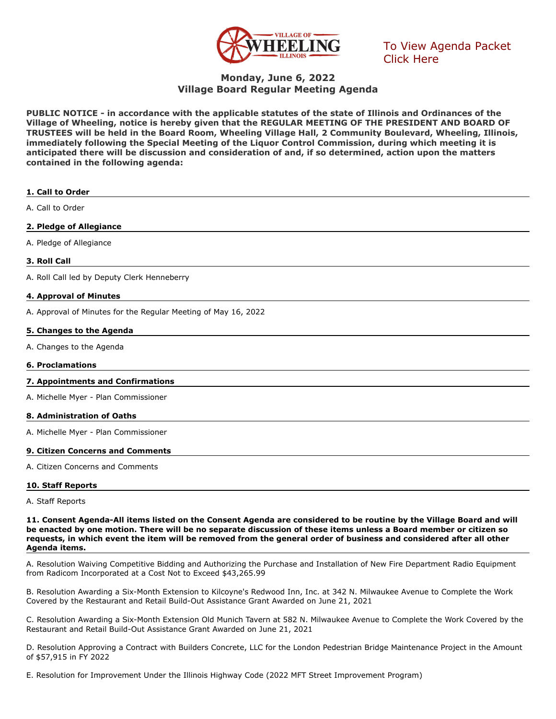

[To View Agenda Packet](http://go.boarddocs.com/il/vowil/Board.nsf/goto?open&id=CDVPBF617D98)  Click Here

# **Monday, June 6, 2022 Village Board Regular Meeting Agenda**

**PUBLIC NOTICE - in accordance with the applicable statutes of the state of Illinois and Ordinances of the Village of Wheeling, notice is hereby given that the REGULAR MEETING OF THE PRESIDENT AND BOARD OF TRUSTEES will be held in the Board Room, Wheeling Village Hall, 2 Community Boulevard, Wheeling, Illinois, immediately following the Special Meeting of the Liquor Control Commission, during which meeting it is anticipated there will be discussion and consideration of and, if so determined, action upon the matters contained in the following agenda:**

| 1. Call to Order                                               |
|----------------------------------------------------------------|
| A. Call to Order                                               |
| 2. Pledge of Allegiance                                        |
| A. Pledge of Allegiance                                        |
| 3. Roll Call                                                   |
| A. Roll Call led by Deputy Clerk Henneberry                    |
| 4. Approval of Minutes                                         |
| A. Approval of Minutes for the Regular Meeting of May 16, 2022 |
| 5. Changes to the Agenda                                       |
| A. Changes to the Agenda                                       |
| <b>6. Proclamations</b>                                        |
| 7. Appointments and Confirmations                              |
| A. Michelle Myer - Plan Commissioner                           |
| 8. Administration of Oaths                                     |
| A. Michelle Myer - Plan Commissioner                           |
| 9. Citizen Concerns and Comments                               |
| A. Citizen Concerns and Comments                               |
| 10. Staff Reports                                              |

A. Staff Reports

**11. Consent Agenda-All items listed on the Consent Agenda are considered to be routine by the Village Board and will be enacted by one motion. There will be no separate discussion of these items unless a Board member or citizen so requests, in which event the item will be removed from the general order of business and considered after all other Agenda items.**

A. Resolution Waiving Competitive Bidding and Authorizing the Purchase and Installation of New Fire Department Radio Equipment from Radicom Incorporated at a Cost Not to Exceed \$43,265.99

B. Resolution Awarding a Six-Month Extension to Kilcoyne's Redwood Inn, Inc. at 342 N. Milwaukee Avenue to Complete the Work Covered by the Restaurant and Retail Build-Out Assistance Grant Awarded on June 21, 2021

C. Resolution Awarding a Six-Month Extension Old Munich Tavern at 582 N. Milwaukee Avenue to Complete the Work Covered by the Restaurant and Retail Build-Out Assistance Grant Awarded on June 21, 2021

D. Resolution Approving a Contract with Builders Concrete, LLC for the London Pedestrian Bridge Maintenance Project in the Amount of \$57,915 in FY 2022

E. Resolution for Improvement Under the Illinois Highway Code (2022 MFT Street Improvement Program)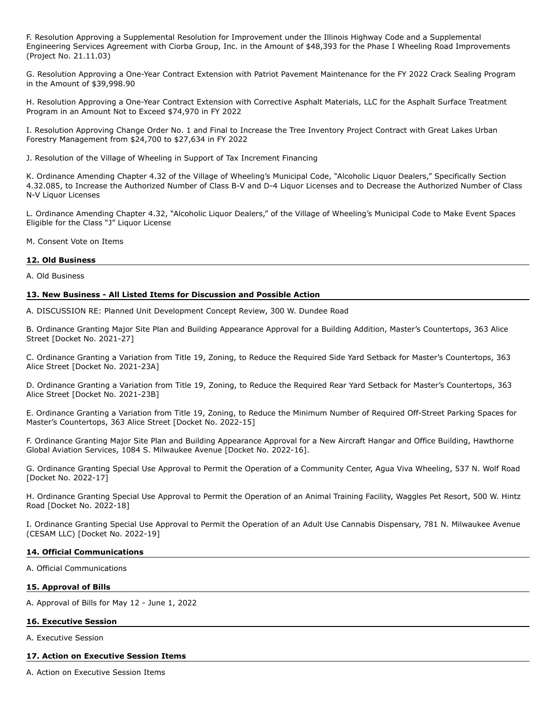F. Resolution Approving a Supplemental Resolution for Improvement under the Illinois Highway Code and a Supplemental Engineering Services Agreement with Ciorba Group, Inc. in the Amount of \$48,393 for the Phase I Wheeling Road Improvements (Project No. 21.11.03)

G. Resolution Approving a One-Year Contract Extension with Patriot Pavement Maintenance for the FY 2022 Crack Sealing Program in the Amount of \$39,998.90

H. Resolution Approving a One-Year Contract Extension with Corrective Asphalt Materials, LLC for the Asphalt Surface Treatment Program in an Amount Not to Exceed \$74,970 in FY 2022

I. Resolution Approving Change Order No. 1 and Final to Increase the Tree Inventory Project Contract with Great Lakes Urban Forestry Management from \$24,700 to \$27,634 in FY 2022

J. Resolution of the Village of Wheeling in Support of Tax Increment Financing

K. Ordinance Amending Chapter 4.32 of the Village of Wheeling's Municipal Code, "Alcoholic Liquor Dealers," Specifically Section 4.32.085, to Increase the Authorized Number of Class B-V and D-4 Liquor Licenses and to Decrease the Authorized Number of Class N-V Liquor Licenses

L. Ordinance Amending Chapter 4.32, "Alcoholic Liquor Dealers," of the Village of Wheeling's Municipal Code to Make Event Spaces Eligible for the Class "J" Liquor License

M. Consent Vote on Items

#### **12. Old Business**

A. Old Business

#### **13. New Business - All Listed Items for Discussion and Possible Action**

A. DISCUSSION RE: Planned Unit Development Concept Review, 300 W. Dundee Road

B. Ordinance Granting Major Site Plan and Building Appearance Approval for a Building Addition, Master's Countertops, 363 Alice Street [Docket No. 2021-27]

C. Ordinance Granting a Variation from Title 19, Zoning, to Reduce the Required Side Yard Setback for Master's Countertops, 363 Alice Street [Docket No. 2021-23A]

D. Ordinance Granting a Variation from Title 19, Zoning, to Reduce the Required Rear Yard Setback for Master's Countertops, 363 Alice Street [Docket No. 2021-23B]

E. Ordinance Granting a Variation from Title 19, Zoning, to Reduce the Minimum Number of Required Off-Street Parking Spaces for Master's Countertops, 363 Alice Street [Docket No. 2022-15]

F. Ordinance Granting Major Site Plan and Building Appearance Approval for a New Aircraft Hangar and Office Building, Hawthorne Global Aviation Services, 1084 S. Milwaukee Avenue [Docket No. 2022-16].

G. Ordinance Granting Special Use Approval to Permit the Operation of a Community Center, Agua Viva Wheeling, 537 N. Wolf Road [Docket No. 2022-17]

H. Ordinance Granting Special Use Approval to Permit the Operation of an Animal Training Facility, Waggles Pet Resort, 500 W. Hintz Road [Docket No. 2022-18]

I. Ordinance Granting Special Use Approval to Permit the Operation of an Adult Use Cannabis Dispensary, 781 N. Milwaukee Avenue (CESAM LLC) [Docket No. 2022-19]

## **14. Official Communications**

A. Official Communications

#### **15. Approval of Bills**

A. Approval of Bills for May 12 - June 1, 2022

#### **16. Executive Session**

A. Executive Session

#### **17. Action on Executive Session Items**

A. Action on Executive Session Items